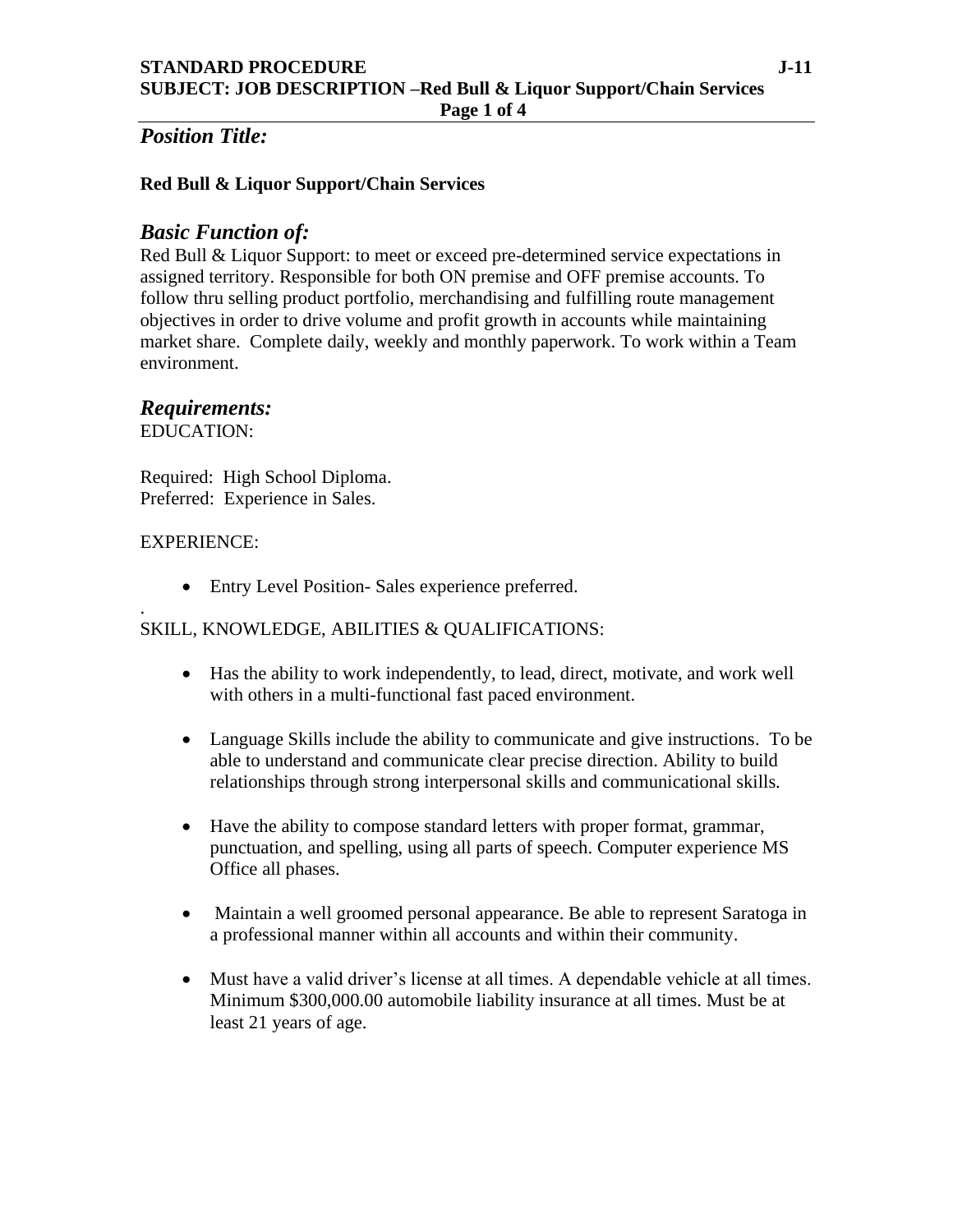## *Position Title:*

### **Red Bull & Liquor Support/Chain Services**

## *Basic Function of:*

Red Bull & Liquor Support: to meet or exceed pre-determined service expectations in assigned territory. Responsible for both ON premise and OFF premise accounts. To follow thru selling product portfolio, merchandising and fulfilling route management objectives in order to drive volume and profit growth in accounts while maintaining market share. Complete daily, weekly and monthly paperwork. To work within a Team environment.

## *Requirements:*

EDUCATION:

Required: High School Diploma. Preferred: Experience in Sales.

#### EXPERIENCE:

• Entry Level Position- Sales experience preferred.

#### . SKILL, KNOWLEDGE, ABILITIES & QUALIFICATIONS:

- Has the ability to work independently, to lead, direct, motivate, and work well with others in a multi-functional fast paced environment.
- Language Skills include the ability to communicate and give instructions. To be able to understand and communicate clear precise direction. Ability to build relationships through strong interpersonal skills and communicational skills.
- Have the ability to compose standard letters with proper format, grammar, punctuation, and spelling, using all parts of speech. Computer experience MS Office all phases.
- Maintain a well groomed personal appearance. Be able to represent Saratoga in a professional manner within all accounts and within their community.
- Must have a valid driver's license at all times. A dependable vehicle at all times. Minimum \$300,000.00 automobile liability insurance at all times. Must be at least 21 years of age.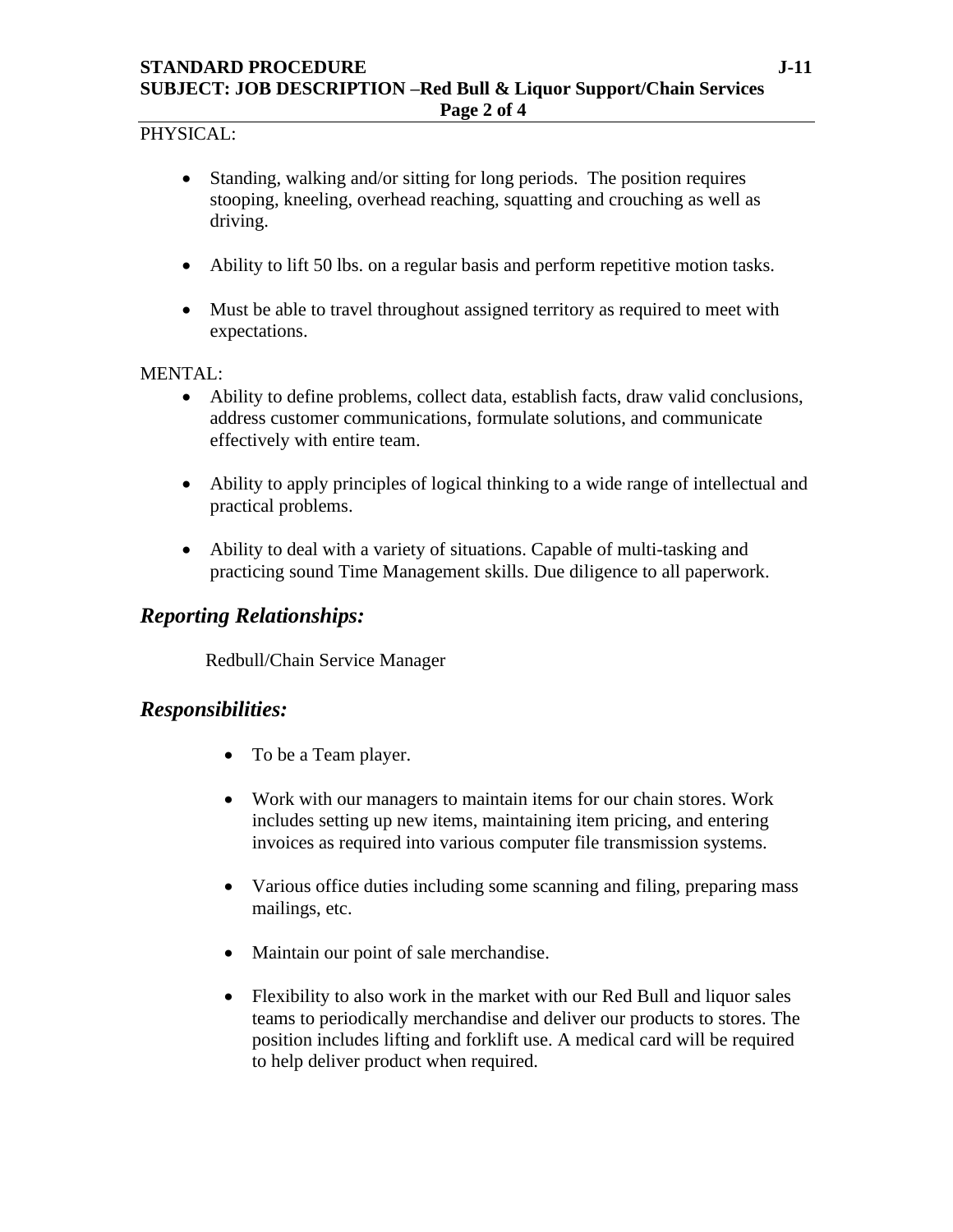#### PHYSICAL:

- Standing, walking and/or sitting for long periods. The position requires stooping, kneeling, overhead reaching, squatting and crouching as well as driving.
- Ability to lift 50 lbs. on a regular basis and perform repetitive motion tasks.
- Must be able to travel throughout assigned territory as required to meet with expectations.

#### MENTAL:

- Ability to define problems, collect data, establish facts, draw valid conclusions, address customer communications, formulate solutions, and communicate effectively with entire team.
- Ability to apply principles of logical thinking to a wide range of intellectual and practical problems.
- Ability to deal with a variety of situations. Capable of multi-tasking and practicing sound Time Management skills. Due diligence to all paperwork.

## *Reporting Relationships:*

Redbull/Chain Service Manager

## *Responsibilities:*

- To be a Team player.
- Work with our managers to maintain items for our chain stores. Work includes setting up new items, maintaining item pricing, and entering invoices as required into various computer file transmission systems.
- Various office duties including some scanning and filing, preparing mass mailings, etc.
- Maintain our point of sale merchandise.
- Flexibility to also work in the market with our Red Bull and liquor sales teams to periodically merchandise and deliver our products to stores. The position includes lifting and forklift use. A medical card will be required to help deliver product when required.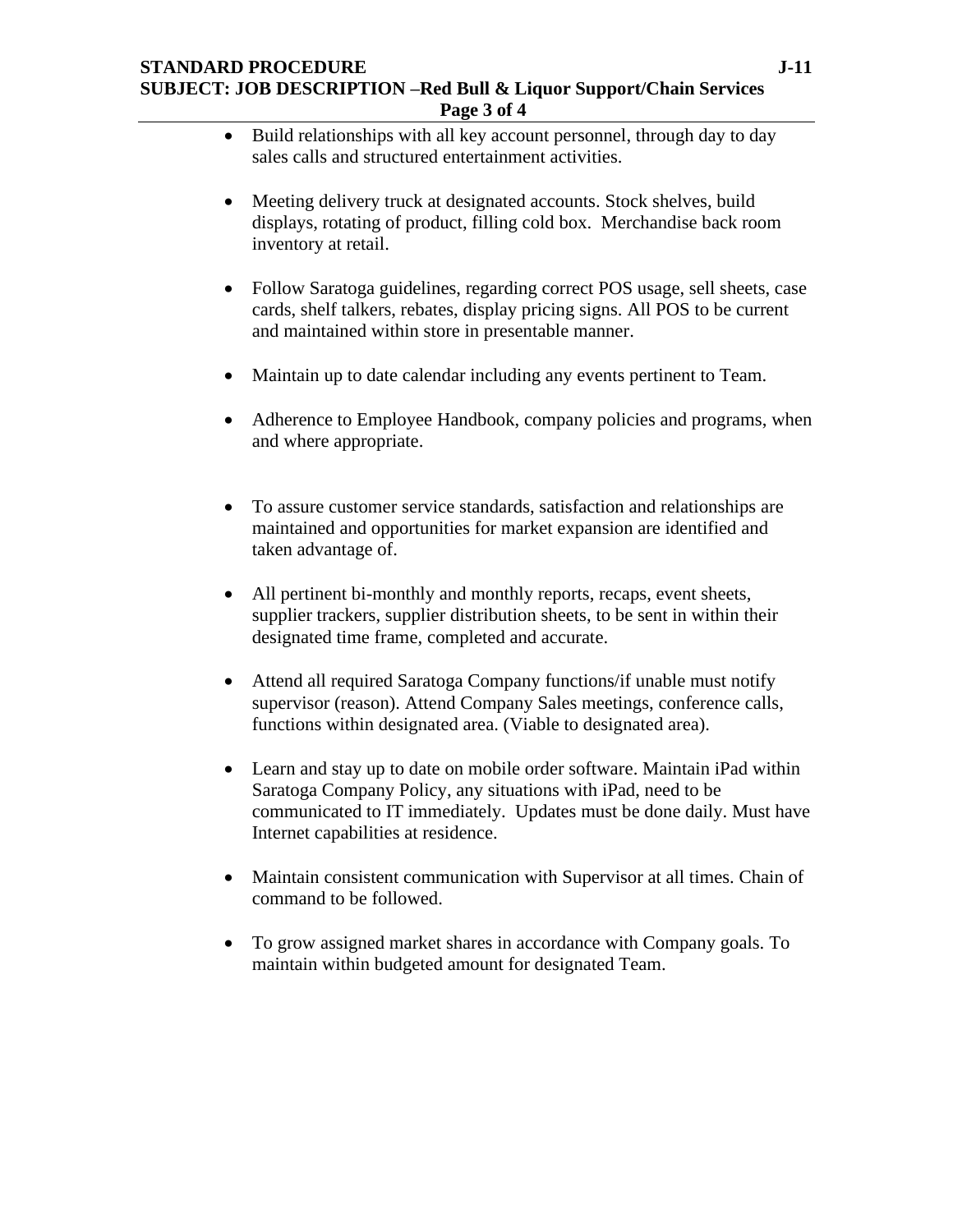- Build relationships with all key account personnel, through day to day sales calls and structured entertainment activities.
- Meeting delivery truck at designated accounts. Stock shelves, build displays, rotating of product, filling cold box. Merchandise back room inventory at retail.
- Follow Saratoga guidelines, regarding correct POS usage, sell sheets, case cards, shelf talkers, rebates, display pricing signs. All POS to be current and maintained within store in presentable manner.
- Maintain up to date calendar including any events pertinent to Team.
- Adherence to Employee Handbook, company policies and programs, when and where appropriate.
- To assure customer service standards, satisfaction and relationships are maintained and opportunities for market expansion are identified and taken advantage of.
- All pertinent bi-monthly and monthly reports, recaps, event sheets, supplier trackers, supplier distribution sheets, to be sent in within their designated time frame, completed and accurate.
- Attend all required Saratoga Company functions/if unable must notify supervisor (reason). Attend Company Sales meetings, conference calls, functions within designated area. (Viable to designated area).
- Learn and stay up to date on mobile order software. Maintain iPad within Saratoga Company Policy, any situations with iPad, need to be communicated to IT immediately. Updates must be done daily. Must have Internet capabilities at residence.
- Maintain consistent communication with Supervisor at all times. Chain of command to be followed.
- To grow assigned market shares in accordance with Company goals. To maintain within budgeted amount for designated Team.